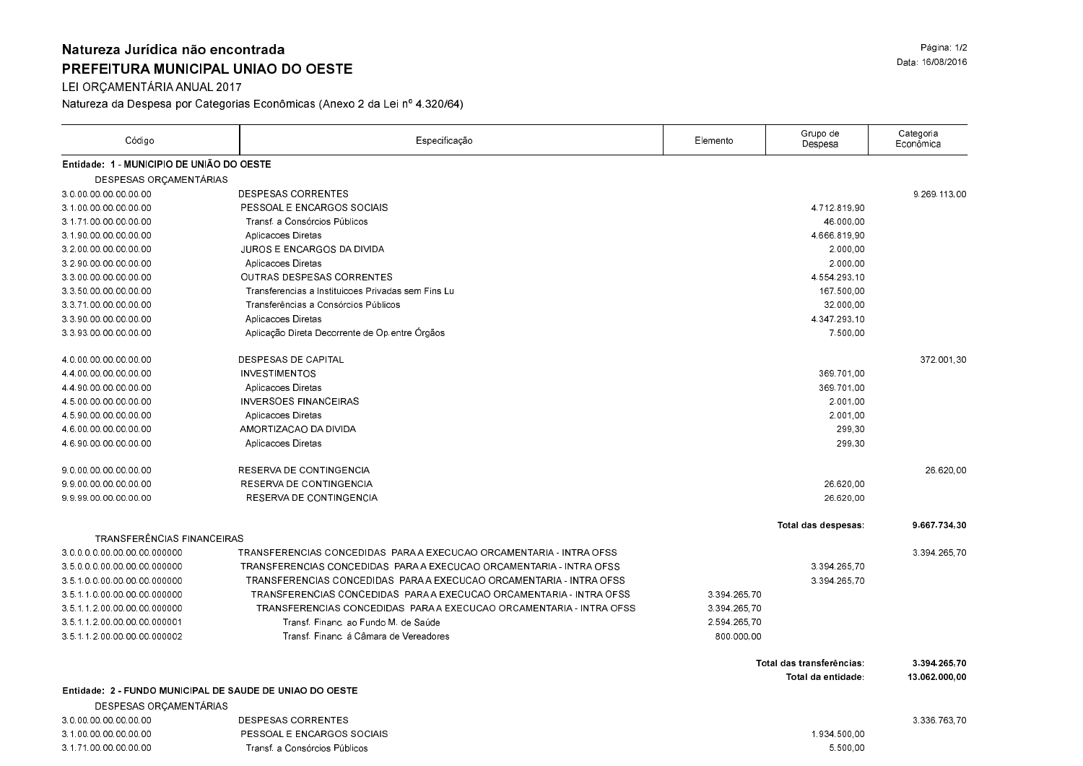## Natureza Jurídica não encontrada PREFEITURA MUNICIPAL UNIAO DO OESTE

LEI ORÇAMENTÁRIA ANUAL 2017

Natureza da Despesa por Categorias Econômicas (Anexo 2 da Lei nº 4.320/64)

| Código                                                   | Especificação                                                       | Elemento     | Grupo de<br>Despesa       | Categoria<br>Econômica |
|----------------------------------------------------------|---------------------------------------------------------------------|--------------|---------------------------|------------------------|
| Entidade: 1 - MUNICIPIO DE UNIÃO DO OESTE                |                                                                     |              |                           |                        |
| DESPESAS ORÇAMENTÁRIAS                                   |                                                                     |              |                           |                        |
| 3.0.00.00.00.00.00.00                                    | <b>DESPESAS CORRENTES</b>                                           |              |                           | 9.269.113.00           |
| 3 1 00 00 00 00 00 00                                    | PESSOAL E ENCARGOS SOCIAIS                                          |              | 471281990                 |                        |
| 3 1 71 00 00 00 00 00                                    | Transf a Consórcios Públicos                                        |              | 46.000.00                 |                        |
| 3 1 90 00 00 00 00 00                                    | Aplicacoes Diretas                                                  |              | 4 666 819 90              |                        |
| 3 2 00 00 00 00 00 00                                    | <b>JUROS E ENCARGOS DA DIVIDA</b>                                   |              | 2.000.00                  |                        |
| 3 2 90 00 00 00 00 00                                    | Aplicacoes Diretas                                                  |              | 2.000.00                  |                        |
| 3 3 00 00 00 00 00 00                                    | OUTRAS DESPESAS CORRENTES                                           |              | 4 554 293 10              |                        |
| 3 3 50 00 00 00 00 00                                    | Transferencias a Instituicoes Privadas sem Fins Lu                  |              | 167.500.00                |                        |
| 3 3 71 00 00 00 00 00                                    | Transferências a Consórcios Públicos                                |              | 32.000,00                 |                        |
| 3 3 90 00 00 00 00 00                                    | Aplicacoes Diretas                                                  |              | 4 347 293 10              |                        |
| 3 3 93 00 00 00 00 00                                    | Aplicação Direta Decorrente de Op entre Órgãos                      |              | 7.500,00                  |                        |
| 4.0.00.00.00.00.00.00                                    | <b>DESPESAS DE CAPITAL</b>                                          |              |                           | 372 001 30             |
| 4 4 00 00 00 00 00 00                                    | <b>INVESTIMENTOS</b>                                                |              | 369.701.00                |                        |
| 4 4 90 00 00 00 00 00                                    | Aplicacoes Diretas                                                  |              | 369.701.00                |                        |
| 4 5 00 00 00 00 00 00                                    | <b>INVERSOES FINANCEIRAS</b>                                        |              | 2.001.00                  |                        |
| 4 5 90 00 00 00 00 00                                    | Aplicacoes Diretas                                                  |              | 2.001.00                  |                        |
| 4 6 00 00 00 00 00 00                                    | AMORTIZACAO DA DIVIDA                                               |              | 299,30                    |                        |
| 4 6 90 00 00 00 00 00                                    | Aplicacoes Diretas                                                  |              | 299,30                    |                        |
| 9 0 00 00 00 00 00 00                                    | RESERVA DE CONTINGENCIA                                             |              |                           | 26 620 00              |
| 99000000000000                                           | RESERVA DE CONTINGENCIA                                             |              | 26.620,00                 |                        |
| 999900000000000                                          | RESERVA DE CONTINGENCIA                                             |              | 26.620.00                 |                        |
|                                                          |                                                                     |              | Total das despesas:       | 9 667 734 30           |
| TRANSFERÊNCIAS FINANCEIRAS                               |                                                                     |              |                           |                        |
| 3 0 0 0 0 00 00 00 00 000000                             | TRANSFERENCIAS CONCEDIDAS PARA A EXECUCAO ORCAMENTARIA - INTRA OFSS |              |                           | 3.394.265.70           |
| 35000000000000000000                                     | TRANSFERENCIAS CONCEDIDAS PARA A EXECUCAO ORCAMENTARIA - INTRA OFSS |              | 3 3 9 4 2 6 5 7 0         |                        |
| 35100000000000000000                                     | TRANSFERENCIAS CONCEDIDAS PARA A EXECUCAO ORCAMENTARIA - INTRA OFSS |              | 3 3 9 4 2 6 5 7 0         |                        |
| 3 5 1 1 0 00 00 00 00 000000                             | TRANSFERENCIAS CONCEDIDAS PARA A EXECUCAO ORCAMENTARIA - INTRA OFSS | 3.394.265.70 |                           |                        |
| 3511200000000000000                                      | TRANSFERENCIAS CONCEDIDAS PARA A EXECUCAO ORCAMENTARIA - INTRA OFSS | 3 394 265 70 |                           |                        |
| 3 5 1 1 2 00 00 00 00 000001                             | Transf. Financ. ao Fundo M. de Saúde                                | 2.594.265.70 |                           |                        |
| 3511200000000000002                                      | Transf. Financ. á Câmara de Vereadores                              | 800.000,00   |                           |                        |
|                                                          |                                                                     |              | Total das transferências: | 3 394 265 70           |
| Entidade: 2 - FUNDO MUNICIPAL DE SAUDE DE UNIAO DO OESTE |                                                                     |              | Total da entidade:        | 13 062 000,00          |
| DESPESAS ORÇAMENTÁRIAS                                   |                                                                     |              |                           |                        |
| 3 0 00 00 00 00 00 00                                    | <b>DESPESAS CORRENTES</b>                                           |              |                           | 3.336.763.70           |
| 3 1 00 00 00 00 00 00                                    | PESSOAL E ENCARGOS SOCIAIS                                          |              | 1 934 500 00              |                        |
| 3 1 71 00 00 00 00 00                                    | Transf a Consórcios Públicos                                        |              | 5.500.00                  |                        |